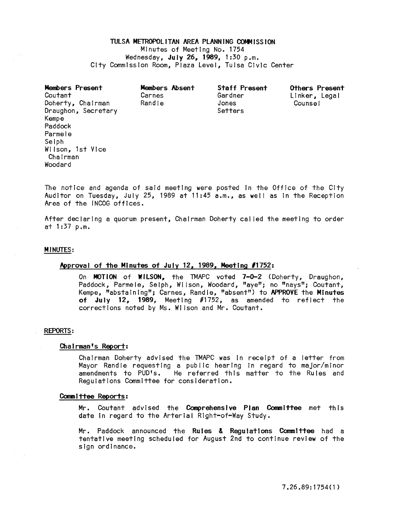## TULSA METROPOLITAN AREA PLANNING COMMISSION

Minutes of Meeting No. 1754 Wednesday, July 26, 1989, 1:30 p.m. City Commission Room, Plaza Level, Tulsa Civic Center

| Members Present<br>Coutant | Members Absent<br>Carnes | <b>Staff Present</b><br>Gardner | Others Present<br>Linker, Legal |
|----------------------------|--------------------------|---------------------------------|---------------------------------|
| Doherty, Chairman          | Randle                   | Jones                           | Counsel                         |
| Draughon, Secretary        |                          | Setters                         |                                 |
| Kempe                      |                          |                                 |                                 |
| Paddock                    |                          |                                 |                                 |
| Parmele                    |                          |                                 |                                 |
| Selph                      |                          |                                 |                                 |
| Wilson, 1st Vice           |                          |                                 |                                 |
| Chairman                   |                          |                                 |                                 |
| Woodard                    |                          |                                 |                                 |

The notice and agenda of said meeting were posted In the Office of the City Auditor on Tuesday, July 25, 1989 at  $11:45$  a.m., as well as in the Reception Area of the INCOG offices.

After declaring a quorum present, Chairman Doherty cal led the meeting to order at 1:37 p.m.

#### **MINUTES:**

# Approval of the Minutes of July 12, 1989, Meeting #1752:

On MOTION of WILSON, the TMAPC voted 7-0-2 (Doherty, Draughon, Paddock, Parmele, Selph, Wilson, Woodard, "aye"; no "nays"; Coutant, Kempe, "abstaining"; Carnes, Randle, "absent") to APPROVE the Minutes of July 12, 1989, Meeting #1752, as amended to reflect the corrections noted by Ms. Wilson and Mr. Coutant.

# REPORTS:

# Chairman's Report:

Chairman Doherty advised the TMAPC was in receipt of a letter from Mayor Randle requesting a public hearing In regard to major/minor He referred this matter to the Rules and Regulations Committee for consideration.

#### Committee Reports:

Mr. Coutant advised the Comprehensive Plan Committee met this date In regard to the Arterial Right-of-Way Study.

Mr. Paddock announced the Rules & Regulations Committee had a tentative meeting SCheduled for August 2nd to continue review of the sign ordinance.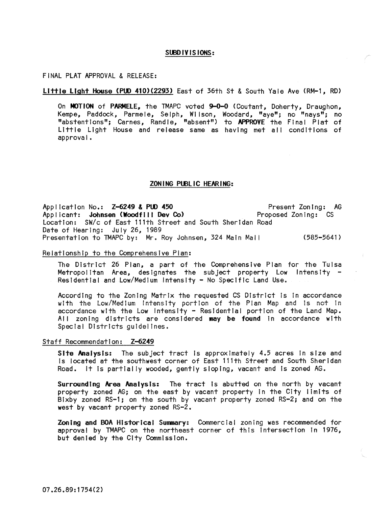## SUBD IV IS IONS:

## FINAL PLAT APPROVAL & RELEASE:

#### Little Light House (PUD 410)(2293) East of 36th St & South Yale Ave (RM-1, RD)

On MOTION of PARMELE, the TMAPC voted 9-0-0 (Coutant, Doherty, Draughon, Kempe, Paddock, Parmele, Selph, Wilson, Woodard, "aye"; no "nays"; no "abstentions"; Carnes, Randle, "absent") to APPROVE the Final Plat of Little Light House and release same as having met all conditions of approval.

# ZON ING PUBLIC HEARING:

Present Zoning: AG Proposed Zoning: CS Location: SW/c of East 111th Street and South Sheridan Road Application No.: Z-6249 & PUD 450 Applicant: Johnsen (Woodfill Dev Co) Date of Hearing: July 26, 1989 Presentation to TMAPC by: Mr. Roy Johnsen, 324 Main Mail (585-5641)

# Relationship to the Comprehensive Pian:

The DistrIct 26 Plan, a part of the Comprehensive Plan for the Tulsa Metropolitan Area, designates the subject property Low Intensity -<br>Residential and Low/Medium Intensity - No Specific Land Use.

According to the ZonIng Matrix the requested CS District Is In accordance with the Low/Medium Intensity portion of the Plan Map and is not in accordance with the Low Intensity - Residential portion of the Land Map. All zoning districts are considered may be found in accordance with Spec1al Districts guidelines.

# Staff Recommendation: Z-6249

Site Analysis: The subject tract is approximately 4.5 acres in size and Is located at the southwest corner of East 111th Street and South Sheridan Road. It is partially wooded, gently sloping, vacant and Is zoned AG.

Surrounding Area Analysts: The tract Is abutted on the north by vacant property zoned AG; on the east by vacant property In the City limits of Bixby zoned RS-1; on the south by vacant property zoned RS-2; and on the west by vacant property zoned RS-2.

Zoning and BOA Historical Summary: Commercial zoning was recommended for approval by TMAPC on the northeast corner of this Intersection In 1976, but denied by the City Commission.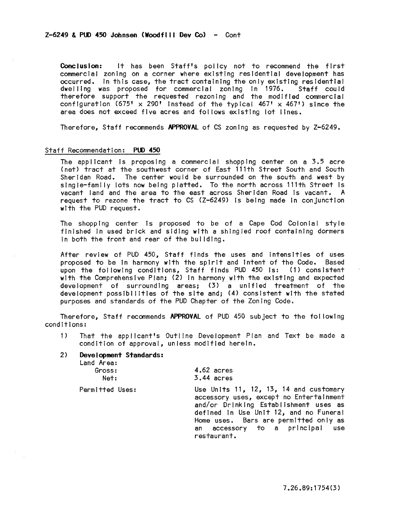# $Z-6249$  & PUD 450 Johnsen (Woodfill Dev Co) - Cont

Conclusion: It has been Staff's policy not to recommend the first commercial zoning on a corner where existing residential development has occurred. In this case, the tract containing the only existing residential<br>dwelling was proposed for commercial zoning in 1976. Staff could dwelling was proposed for commercial zoning in 1976. therefore support the requested rezoning and the modified commercial configuration (675' x 290' instead of the typical  $467'$  x  $467'$ ) since the area does not exceed five acres and follows existing lot lines.

Therefore, Staff recommends APPROVAl of CS zoning as requested by Z-6249.

# Staff Recommendation: PUD 450

The applicant is proposing a commercial shopping center on a  $3.5$  acre (net) tract at the southwest corner of East 111th Street South and South<br>Sheridan Road. The center would be surrounded on the south and west by The center would be surrounded on the south and west by single-family lots now being platted. To the north across l11th Street is vacant land and the area to the east across Sheridan Road is vacant. A request to rezone the tract to CS (Z-6249) Is being made In conjunction with the PUD request.

The shoppIng center is proposed to be of a Cape Cod Coioniai style finished In used brick and siding with a shingled roof containing dormers In both the front and rear of the building.

After review of PUD 450, Staff finds the uses and intensities of uses proposed to be In harmony with the spirit and intent of the Code. Based upon the following conditions, Staff finds PUD 450 Is: (1) consistent with the Comprehensive Plan; (2) In harmony wIth the existing and expected development of surrounding areas; (3) a unified treatment of the development possibilities of the site and; (4) consistent with the stated purposes and standards of the PUD Chapter of the Zoning Code.

Therefore, Staff recommends APPROVAL of PUD 450 subject to the fol lowing conditions:

- 1) That the applicant's Outline Development Plan and Text be made a condition of approval, unless modified herein.
- 2) Deve I opment Standards:

Land Area:

| Gross: |  |
|--------|--|
| Net:   |  |

3.44 acres

4.62 acres

Permitted Uses:

Use Units 11, 12, 13, 14 and customary accessory uses, except no Entertainment and/or Drinking Establishment uses as defined in Use Unit 12, and no Funeral Home uses. Bars are permitted only as an accessory to a principal use restaurant.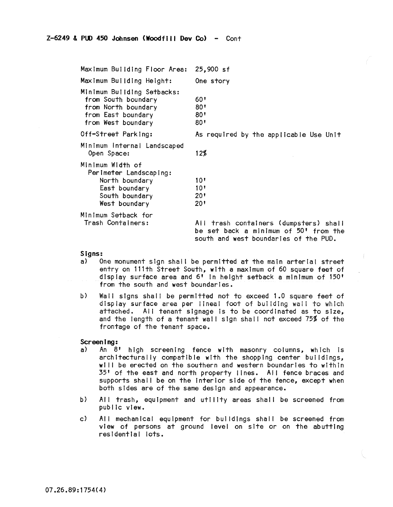Maximum Building Floor Area: 25,900 sf Maximum Building Height: Minimum Building Setbacks: from South boundary from North boundary from East boundary from West boundary Off-Street Parking: Minimum Internal Landscaped Open Space: Minimum WIdth of Perimeter Landscaping: North boundary East boundary South boundary West boundary Minimum Setback for Trash Containers: One story  $60'$ 80' 80' 80' As required by the applicable Use Unit 12% 10' 10' 20' 20' All trash containers (dumpsters) shall be set back a minimum of 50' from the south and west boundaries of the PUD.

# Signs:<br>a) 0

- One monument sign shall be permitted at the main arterial street entry on l11th Street South, with a maximum of 60 square feet of dIsplay surface area and 6' In height setback a minimum of 150' from the south and west boundaries.
- b) Wall signs shall be permitted not to exceed 1.0 square feet of display surface area per lineal foot of building wall to which attached. All tenant slgnage 15 to be coordinated as to size, and the length of a tenant wall sign shall not exceed 75% of the frontage of the tenant space.

## Screening:

- a) An 8' high screening fence with masonry columns, which is architecturally compatible with the shopping center buildings, will be erected on the southern and western boundaries to within 35' of the east and north property lines. All fence braces and supports shall be on the interior side of the fence, except when both sides are of the same design and appearance.
- b) All trash, equipment and utility areas shall be screened from public view.
- c) All mechanical equipment for buildings shall be screened from view of persons at ground level on site or on the abutting residential lots.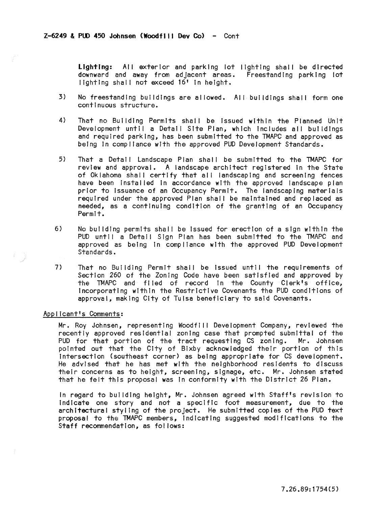Lighting: All exterior and parking lot lighting shall be directed downward and away from adjacent areas. Freestanding parking lot lighting shall not exceed 16' in height.

- 3) No freestanding buildings are allowed. All buildings shall form one continuous structure.
- 4) That no Building Permits shall be Issued within the Planned Unit Development until a Detail Site Plan, which Includes all buildings and required parking, has been submitted to the TMAPC and approved as being In compliance with the approved PUD Development Standards.
- 5) That a Detail Landscape Plan shall be submitted to the TMAPC for review and approval. A landscape architect registered In the State of Oklahoma shall certify that all landscaping and screening fences have been Installed In accordance wIth the approved landscape plan prior to Issuance of an Occupancy Permit. The landscaping materials required under the approved Plan shall be maintained and replaced as needed, as a continuing condition of the granting of an Occupancy Permit.
- 6) No building permits shall be issued for erection of a sign within the PUD until a Detail Sign Plan has been submitted to the TMAPC and approved as being In compliance with the approved PUD Development Standards.
- 7) That no Building Permit shall be issued until the requirements of Section 260 of the Zoning Code have been satisfied and approved by the TMAPC and fi led of record In the County Clerk's office, Incorporating within the Restrictive Covenants the PUD conditions of approval, making City of Tulsa beneficiary to said Covenants.

# Appilcant's Comments:

Mr. Roy Johnsen, representing Woodfill Development Company, reviewed the recently approved residential zoning case that prompted submittal of the<br>PUD for that portion of the tract requesting CS zoning. Mr. Johnsen PUD for that portion of the tract requesting CS zoning. pointed out that the City of Bixby acknowledged their portion of this Intersection (southeast corner) as being appropriate for CS development. He advised that he has met with the neighborhood residents to discuss their concerns as to height, screening, slgnage, etc. Mr. Johnsen stated that he felt this proposal was In conformity with the District 26 Plan.

In regard to building height, Mr. Johnsen agreed with Staff's revision to Indicate one story and not a specific foot measurement, due to the architectural styling of the project. He submitted copies of the PUD text proposal to the TMAPC members, indicating suggested modifications to the Staff recommendation, as fol lows: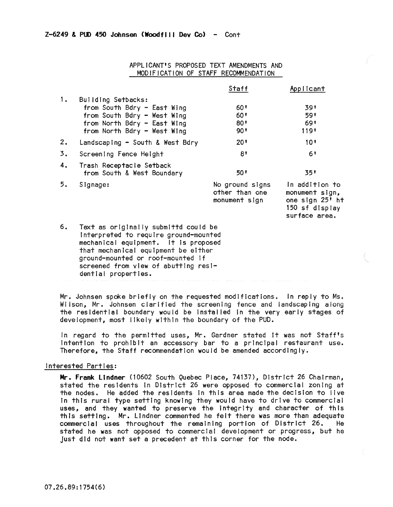|    |                                                                                                                                                                                                                                                                  | <b>Staff</b>                                       | Applicant                                                                              |
|----|------------------------------------------------------------------------------------------------------------------------------------------------------------------------------------------------------------------------------------------------------------------|----------------------------------------------------|----------------------------------------------------------------------------------------|
| 1. | Building Setbacks:<br>from South Bdry - East Wing<br>from South Bdry - West Wing<br>from North Bdry - East Wing<br>from North Bdry - West Wing                                                                                                                   | 60 °<br>60'<br>$80^{\circ}$<br>90'                 | 391<br>591<br>691<br>1191                                                              |
| 2. | Landscaping - South & West Bdry                                                                                                                                                                                                                                  | 20 <sup>1</sup>                                    | 10 <sup>t</sup>                                                                        |
| 3. | Screening Fence Height                                                                                                                                                                                                                                           | 8 <sup>1</sup>                                     | 61                                                                                     |
| 4. | Trash Receptacle Setback<br>from South & West Boundary                                                                                                                                                                                                           | 50 L                                               | 351                                                                                    |
| 5. | Signage:                                                                                                                                                                                                                                                         | No ground signs<br>other than one<br>monument sign | In addition to<br>monument sign,<br>one sign 25' ht<br>150 sf display<br>surface area. |
| 6. | Text as originally submittd could be<br>interpreted to require ground-mounted<br>mechanical equipment. It is proposed<br>that mechanical equipment be either<br>ground-mounted or roof-mounted if<br>screened from view of abutting resi-<br>dential properties. |                                                    |                                                                                        |

# APPLICANT'S PROPOSED TEXT AMENDMENTS AND MODIFICATION OF STAFF RECOMMENDATION

Mr. Johnsen spoke briefly on the requested modifications. in reply to Ms. Wilson, Mr. Johnsen clarified the screening fence and landscaping along the residential boundary would be Installed in the very early stages of development, most likely within the boundary of the PUD.

In regard to the permitted uses, Mr. Gardner stated It was not Staff's intention to prohibit an accessory bar to a principal restaurant use. Therefore, the Staff recommendation would be amended accordingly.

## Interested Parties:

Mr. Frank Lindner (10602 South Quebec Place, 74137), District 26 Chairman, stated the residents In District 26 were opposed to commercial zoning at the nodes. He added the residents In this area made the decision to live In this rural type setting knowing they would have to drive to commercial uses, and they wanted to preserve the integrity and character of this this setting. Mr. Lindner commented he felt there was more than adequate commercial uses throughout the remaining portion of District 26. stated he was not opposed to commercial development or progress, but he Just did not want set a precedent at this corner for the node.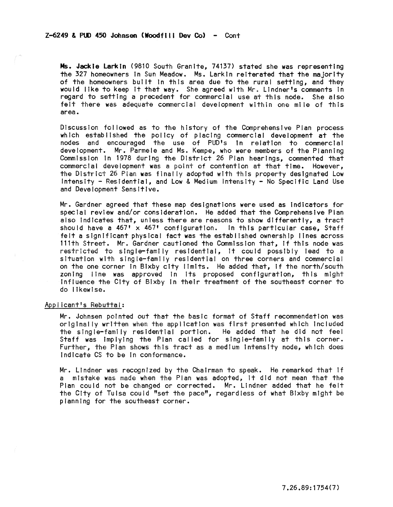Ms. Jackie Larkin (9810 South Granite, 74137) stated she was representing the 327 homeowners tn Sun Meadow. Ms. Larkin reiterated that the majorIty of the homeowners built in this area due to the rural setting, and they would like to keep It that way. She agreed with Mr. Lindner's comments In regard to setting a precedent for commercial use at this node. She also feit there was adequate commercial development within one mile of this area.

Discussion followed as to the history of the Comprehensive Plan process which established the policy of placing commercial development at the nodes and encouraged the use of PUD's In relation to commercial development. Mr. Parmele and Ms. Kempe, who were members of the Planning Commission in 1978 during the District 26 Plan hearings, commented that commercial development was a point of contention at that time. However, the District 26 Plan was fInally adopted with this property designated Low Intensity - Residential, and Low & Medium Intensity - No Specific Land Use and Development Sensitive.

Mr. Gardner agreed that these map designations were used as indicators for special review and/or consideration. He added that the Comprehensive Plan also indicates that, unless there are reasons to show differently, a tract should have a  $467' \times 467'$  configuration. In this particular case, Staff felt a significant physical fact was the established ownership lines across l11th Street. Mr. Gardner cautioned the Commission that, If this node was restricted to single-family residential, it could possibly lead to a situation with single-family residential on three corners and commercial on the one corner In Bixby city limits. He added that, If the north/south zoning line was approved In Its proposed configuration, this might Influence the City of Bixby tn their treatment of the southeast corner to do likewise.

# Applicant's Rebuttai:

Mr. Johnsen pointed out that the basic format of Staff recommendation was originally written when the application was first presented which Included the sIngle-family residential portion. He added that he did not feel Staff was Implying the Plan called for single-family at this corner. Further, the Plan shows this tract as a medium Intensity node, which does Indicate CS to be In conformance.

Mr. Lindner was recognized by the Chairman to speak. He remarked that If a mistake was when the Plan was adopted, It did not mean that the Plan could not be changed or corrected. Mr. Lindner added that he felt the City of Tulsa could "set the pace", regardless of what Bixby might be planning for the southeast corner.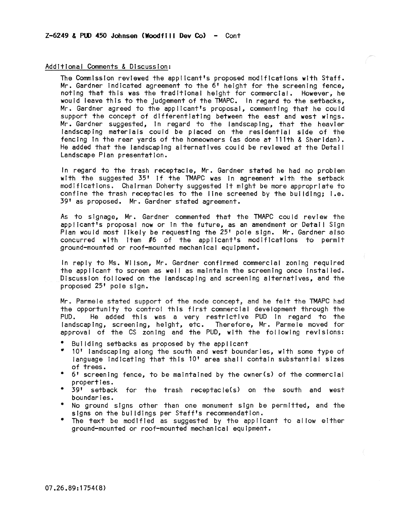# Additional Comments & Discussion:

The Commission reviewed the applicant's proposed modifications with Staff. Mr. Gardner Indicated agreement to the 6' height for the screening fence, noting that this was the traditional height for commercial. However, he would leave this to the Judgement of the TMAPC. In regard to the setbacks, Mr. Gardner agreed to the applicant's proposal, commenting that he could support the concept of differentiating between the east and west wings. Mr. Gardner suggested, in regard to the landscaping, that the heavier landscaping materials could be placed on the residential side of the fencing in the rear yards of the homeowners (as done at 111th & Sheridan). He added that the landscaping alternatives could be reviewed at the Detal I Landscape Plan presentation.

In regard to the trash receptacie, Mr. Gardner stated he had no problem with the suggested 35' If the TMAPC was In agreement with the setback modifications. Chairman Doherty suggested !t mIght be more appropriate to confine the trash receptacles to the line screened by the building; I.e. 39' as proposed. Mr. Gardner stated agreement.

As to slgnage, Mr. Gardner commented that the TMAPC could review the applicant's proposal now or In the future, as an amendment or Detal I Sign Plan would most likely be requesting the 25' pole sign. Mr. Gardner also concurred with Item #6 of the applicant's modifications to permit ground-mounted or roof-mounted mechanical equipment.

In reply to Ms. Wilson, Mr. Gardner confirmed commercial zoning required the applicant to screen as well as maintain the screening once installed. DiscussIon fol lowed on the landscaping and screening alternatives, and the proposed 25' pole sign.

Mr. Parmele stated support of the node concept, and he felt the TMAPC had the opportunity to control this first commercial development through the<br>PUD. He added this was a very restrictive PUD in regard to the He added this was a very restrictive PUD in regard to the landscaping, screening, height, etc. Therefore, Mr. Parmele moved for approval of the CS zoning and the PUD, with the following revisions:

- Building setbacks as proposed by the applicant
- **v** 10' landscaping along the south and west boundaries, with some type of language indicating that this 10' area shall contain substantial sizes of trees.
- 6' screening fence, to be maintained by the owner(s) of the commercial properties.
- 39' setback for the trash receptacle(s) on the south and west boundaries.
- No ground signs other than one monument sign be permitted, and the signs on the buildings per Staff's recommendation.
- $\bullet$ The text be modified as suggested by the applicant to allow either ground-mounted or roof-mounted mechanical equipment.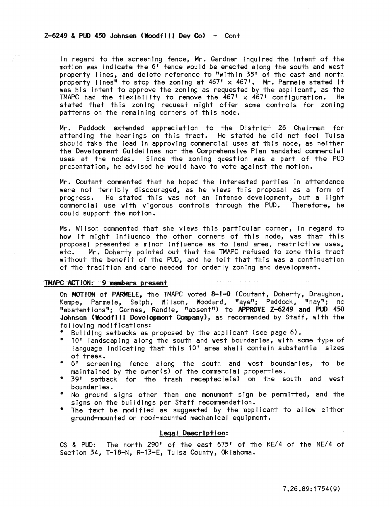## $Z-6249$  & PUD 450 Johnsen (Woodfill Dev Co) - Cont

In regard to the screening fence, Mr. Gardner Inquired the Intent of the motion was Indicate the 6' fence would be erected along the south and west property I fnes, and delete reference to "within 35' of the east and north property lines" to stop the zoning at 467' x 467'. Mr. Parmele stated it was his intent to approve the zoning as requested by the applicant, as the TMAPC had the flexibility to remove the  $467' \times 467'$  configuration. He stated that this zoning request might offer some controls for zoning patterns on the remaining corners of this node.

Mr. Paddock extended appreciation to the District 26 Chairman for attending the hearings on this tract. He stated he did not feel Tulsa should take the lead In approving commercial uses at this node, as neither the Development Guidelines nor the Comprehensive Plan mandated commercial uses at the nodes. Since the zoning question was a part of the PUD presentation, he advised he would have to vote against the motion.

Mr. Coutant commented that he hoped the Interested parties in attendance were not terribly discouraged, as he views this proposal as a form of progress. He stated this was not an Intense development, but a light commercial use with vigorous controls through the PUD. Therefore, he could support the motion.

Ms. Wilson commented that she views this particular corner, in regard to how It might Influence the other corners of this node, was that this proposal presented a minor influence as to land area, restrictive uses, etc. Mr. Doherty pointed out that the TMAPC refused to zone this tract without the benefit of the PUD, and he felt that this was a continuation of the tradition and care needed for orderly zoning and development.

# TMAPC ACTiON: 9 members present

On MOTION of PARMELE, the TMAPC voted 8-1-0 (Coutant, Doherty, Draughon, Kempe, Parmele, Selph, Wilson, Woodard, "aye"; Paddock; "nay"; no "abstentions"; Carnes, Randle, "absent") to APPROVE Z-6249 and PlD 450 Johnsen (Woodfill Development Company), as recommended by Staff, with the fol lowing modifications:

- Building setbacks as proposed by the applicant (see page 6).
- 10' landscaping along the south and west boundaries, with some type of language indicating that this 10<sup>t</sup> area shall contain substantial sizes of trees.<br>6' scree
- 6' screening fence along the south and west boundaries, to be maintained by the owner(s) of the commercial properties.
- 39' setback for the trash receptacle(s) on the south and west boundar I es.
- No ground signs other than one monument sign be permitted, and the signs on the buildings per Staff recommendation.
- The text be modified as suggested by the applicant to allow either ground-mounted or roof-mounted mechanical equipment.

## legal Description:

CS & PUD: The north 290' of the east 675' of the NE/4 of the NE/4 of Section 34, T-18-N, R-13-E, Tulsa County, Oklahoma.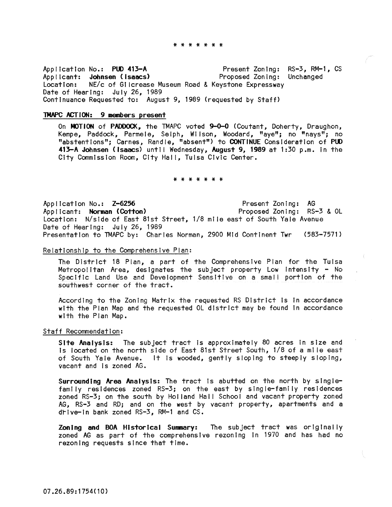#### \* \* \* \* \* \* \*

Application No.: PUD 413-A Applicant: Johnsen (Isaacs) Location: NE/c of Gilcrease Museum Road & Keystone Expressway Date of Hearing: July 26, 1989 Present Zoning: RS-3, RM-1, CS Proposed Zoning: Unchanged Continuance Requested to: August 9, 1989 (requested by Staff)

# TMAPC ACTION: 9 members present

On MOTION of PADDOCK, the TMAPC voted 9-0-0 (Coutant, Doherty, Draughon, Kempe, Paddock, Parmele, Selph, Wilson, Woodard, "aye"; no "nays"; no "abstentions"; Carnes, Randle, "absent") to CONTINUE Consideration of PUD 413-A Johnsen (Isaacs) until Wednesday, August 9, 1989 at 1:30 p.m. in the City Commission Room, City Hal I, Tulsa Civic Center.

\* \* \* \* \* \* \*

Application No.: Z-6256 App Ilcant: Norman (Cotton) Location: N/side of East 81st Street, 1/8 mile east of South Yale Avenue Date of Hearing: July 26, 1989 Presentation to TMAPC by: Charles Norman, 2900 Mid Continent Twr (583-7571) Present Zoning: AG Proposed Zoning: RS-3 & OL

Relationship to the Comprehensive Plan:

The District 18 Plan, a part of the Comprehensive Plan for the Tulsa Metropolitan Area, designates the subject property Low Intensity - No Specific Land Use and Development Sensitive on a small portion of the southwest corner of the tract.

According to the Zoning Matrix the requested RS District Is In accordance with the Plan Map and the requested OL district may be found In accordance with the Plan Map.

## Staff Recommendation:

Site Analysis: The subject tract is approximately 80 acres in size and is located on the north side of East 81st Street South, 1/8 of a ml Ie east of South Yale Avenue. It Is wooded, gently sloping to steeply sloping, vacant and Is zoned AG.

Surrounding Area Analysis: The tract is abutted on the north by singlefamily residences zoned RS-3; on the east by single-family residences zoned RS-3; on the south by Holland Hall School and vacant property zoned AG, RS-3 and RD; and on the west by vacant property, apartments and a drive-In bank zoned RS-3, RM-l and CS.

ZonIng and BOA HIstorical Sunnary: The subject tract was originally zoned AG as part of the comprehensive rezoning in 1970 and has had no rezoning requests since that time.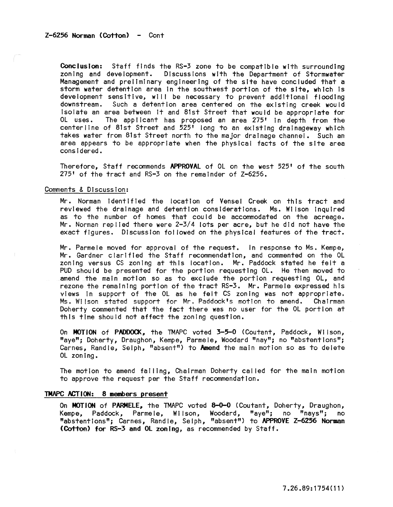Conclusion: Staff finds the RS-3 zone to be compatible with surrounding zoning and development. Discussions with the Department of Stormwater Management and preliminary engineering of the site have concluded that a storm water detention area In the southwest portion of the site, which Is development sensitive, will be necessary to prevent additional flooding Such a detention area centered on the existing creek would Isolate an area between It and 81st Street that would be appropriate for The applicant has proposed an area 275' in depth from the centerline of 81st Street and 525' long to an existing dralnageway which takes water from 81st Street north to the major drainage channel. Such an area appears to be appropriate when the physical facts of the site area considered.

Therefore, Staff recommends APPROVAL of OL on the west 525' of the south 275' of the tract and RS-3 on the remainder of Z-6256.

#### Comments & Discussion:

Mr. Norman identified the location of Vensel Creek on this tract and reviewed the drainage and detention considerations. Ms. Wilson Inquired as to the number of homes that could be accommodated on the acreage. Mr. Norman replied there were 2-3/4 lots per acre, but he did not have the exact figures. Discussion fol lowed on the physical features of the tract.

Mr. Parmele moved for approval of the request. In response to Ms. Kempe, Mr. Gardner clarified the Staff recommendation, and commented on the OL zoning versus CS zoning at this location. Mr. Paddock stated he felt a PUD should be presented for the portion requesting OL. He then moved to amend the main motion so as to exclude the portion requesting OL, and rezone the remaining portion of the tract RS-3. Mr. Parmele expressed his views in support of the OL as he felt CS zoning was not appropriate. Ms. Wilson stated support for Mr. Paddock's motion to amend. Chairman Doherty commented that the fact there was no user for the OL portion at this time should not affect the zoning question.

On MOTION of PADDOCK, the TMAPC voted 3-5-0 (Coutant, Paddock, Wilson, "aye"; Doherty, Draughon, Kempe, Parmele, Woodard "nay"; no "abstentions"; Carnes, Randle, Selph, "absent") to Amend the main motion so as to delete OL zoning.

The motion to amend falling, Chairman Doherty cal led for the main motion to approve the request per the Staff recommendation.

## 1MAPC ACTION: 8 members present

On MOTION of PARMELE, the TMAPC voted 8-0-0 (Coutant, Doherty, Draughon, Kempe, Paddock, Parme Ie, W II son, Woodard, "aye"; no "nays"; no "abstentions"; Carnes, Randle, Selph, "absent") to APPROVE Z-6256 Norman (Cotton) for RS-3 and OL zoning, as recommended by Staff.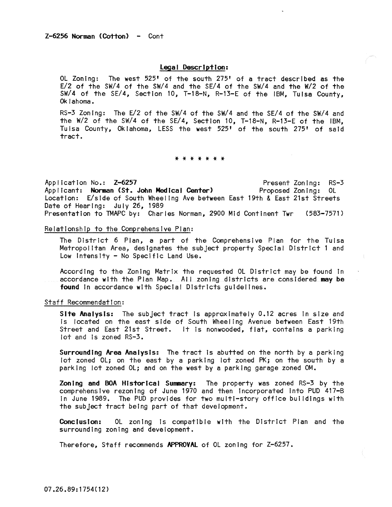## Legal Description:

Ol Zoning: The west 525' of the south 275' of a tract described as the E/2 of the SW/4 of the SW/4 and the SE/4 of the SW/4 and the W/2 of the SW/4 of the SE/4, Section 10, T-18-N, R-13-E of the IBM, Tulsa County, Ok lahoma.

RS-3 Zoning: The E/2 of the SW/4 of the SW/4 and the SE/4 of the SW/4 and the W/2 of the SW/4 of the SE/4, Section 10, T-18-N, R-13-E of the IBM, Tuisa County, Oklahoma, LESS the west 525' of the south 275' of said tract.

#### \* \* \* \* \* \* \*

Application No.: Z-6257 Applicant: Norman (St. John Medical Center) Location: E/side of South Wheeling Ave between East 19th & East 21st Streets Date of Hearing: July 26, 1989 Present Zoning: RS-3 Proposed Zoning: Ol Presentation to TMAPC by: Charles Norman, 2900 Mid Continent Twr (583-7571 )

# Relationship to the Comprehensive Plan:

The District 6 Plan, a part of the Comprehensive Plan for the Tulsa Metropolitan Area, desIgnates the subject property Special District 1 and Low Intensity - No Specific Land Use.

According to the Zoning Matrix the requested Ol District may be found In accordance with the Plan Map. All zoning districts are considered may be found In accordance wIth SpecIal Districts guidelines.

#### Staff Recommendation:

Site Analysis: The subject tract Is approximately 0.12 acres In size and is located on the east side of South Wheeling Avenue between East 19th Street and East 21st Street. It is nonwooded, flat, contains a parking lot and is zoned RS-3.

Surrounding Area Analysis: The tract is abutted on the north by a parking lot zoned OL; on the east by a parking lot zoned PK; on the south by a parking lot zoned Ol; and on the west by a parking garage zoned OM.

Zoning and BOA Historical Summary: The property was zoned RS-3 by the comprehensive rezoning of June 1970 and then Incorporated Into PUD 417-B In June 1989. The PUD provides for two multi-story office buildings with the subject tract being part of that development.

Conclusion: OL zoning Is compatible with the District Plan and the surrounding zoning and development.

Therefore, Staff recommends APPROVAL of Ol zoning for Z-6257.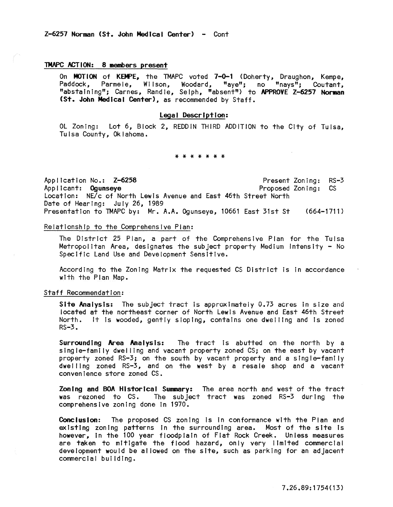# 1MAPC ACTION: 8 members present

On MOTION of KEMPE, the TMAPC voted 7-0-1 (Doherty, Draughon, Kempe, Paddock, Parmele, Wi Ison, Woodard, "aye"; no "nays"; Coutant, "abstaining"; Carnes, Randle, Selph, "absent") to APPROVE Z-6257 Norman (St. John Medical Center), as recommended by Staff.

### Legal Description:

OL Zoning: Lot 6, Block 2, REDDIN THIRD ADDITION to the City of Tulsa, Tulsa County, Oklahoma.

#### \* \* \* \* \* \* \*

Application No.: Z-6258 Applicant: Ogunseye Location: NE/c of North Lewis Avenue and East 46th Street North Date of Hearing: July 26, 1989 Present Zoning: RS-3 Proposed Zoning: CS Presentation to TMAPC by: Mr. A.A. Ogunseye, 10661 East 31st St (664-1711)

# Relationship to the Comprehensive Plan:

The District 25 Plan, a part of the Comprehensive Plan for the Tulsa Metropolitan Area, designates the subject property Medium Intensity - No Specific Land Use and Development Sensitive.

According to the Zoning Matrix the requested CS District Is In accordance with the Plan Map.

#### Staff Recommendation:

Site Analysis: The subject tract is approximately 0.73 acres in size and located at the northeast corner of North Lewis Avenue and East 46th Street North. It Is wooded, gently sloping, contains one dwelling and Is zoned RS-3.

Surrounding Area Analysis: The tract Is abutted on the north by a single-family dwel ling and vacant property zoned CS; on the east by vacant property zoned RS-3; on the south by vacant property and a single-family dwelling zoned RS-3, and on the west by a resale shop and a vacant convenience store zoned CS.

Zoning and BOA Historical Summary: The area north and west of the tract was rezoned to CS. The subject tract was zoned RS-3 during the comprehensive zoning done In 1970.

**Conclusion:** The proposed CS zoning is in conformance with the Plan and existing zoning patterns In the surrounding area. Most of the site Is however, In the 100 year floodplain of Flat Rock Creek. Unless measures are taken to mitigate the flood hazard, only very limited commercial development would be al lowed on the site, such as parking for an adjacent commercial building.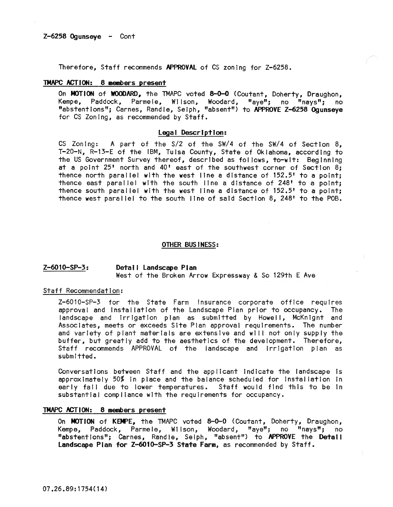Therefore, Staff recommends APPROYAl of CS zoning for Z-6258.

# TMAPC ACTION: 8 members present

On **MOTION** of **WOODARD**, the TMAPC voted 8-0-0 (Coutant, Doherty, Draughon, Kempe, Paddock, Parmele, Wilson, Woodard, "ave": no "navs": no Kempe, Paddock, Parmele, Wilson, Woodard, "aye"; no "nays"; "abstentions"; Carnes, Randle, Selph, "absent") to APPROVE Z-6258 Ogunseye for CS Zoning, as recommended by Staff.

## Legal Description:

CS Zoning: A part of the S/2 of the SW/4 of the SW/4 of Section 8, T-20-N, R-13-E of the IBM, Tulsa County, State of Oklahoma, according to the US Government Survey thereof, described as fol lows, to-wit: Beginning at a point 25' north and 40' east of the southwest corner of Section 8; thence north parallel with the west line a distance of 152.5' to a point; thence east paral lei with the south line a distance of 248' to a point; thence south paral lei with the west line a distance of 152.5' to a point; thence west paral lei to the south line of said Section 8, 248' to the POB.

#### OTHER BUS I NESS:

## Z-6010-SP-3: Detail landscape Plan West of the Broken Arrow Expressway & So 129th E Ave

#### Staff Recommendation:

Z-6010-SP-3 for the State Farm Insurance corporate office requires approval and !nstallatlon of the Landscape Plan prior to occupancy. The landscape and Irrigation plan as submitted by Howell, McKnignt and Associates, meets or exceeds Site Plan approval requirements. The number and variety of plant materials are extensive and will not only supply the buffer, but greatly add to the aesthetics of the development. Therefore, Staff recommends APPROVAL of the landscape and Irrigation plan as submitted.

Conversations between Staff and the applicant Indicate the landscape is approximately 50% in place and the balance sCheduled for installation In early fall due to lower temperatures. Staff would find this to be In substantial compliance with the requirements for occupancy.

## TMAPC ACTION: 8 members present

On MOTION of KEMPE, the TMAPC voted 8-0-0 (Coutant, Doherty, Draughon, Kempe, Paddock, Parmele, Wilson, Woodard, "aye"; no "nays"; no "abstentions"; Carnes, Randle, Selph, "absent") to APPROVE the Detatl Landscape Plan for Z-6010-SP-3 State Farm, as recommended by Staff.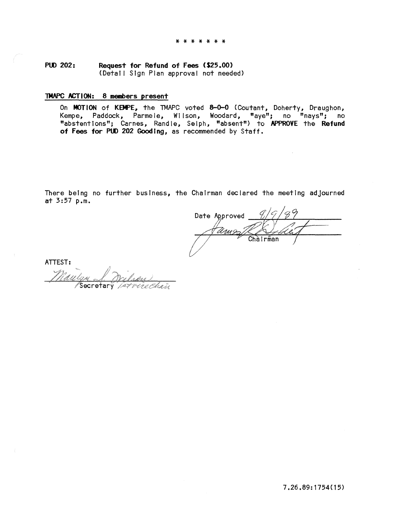PUD 202: Request for Refund of Fees (\$25.00) (Detal! Sign Plan approval not needed)

# TMAPC ACTION: 8 members present

On MOTION of KBPE, the TMAPC voted 8-0-0 (Coutant, Doherty, Draughon, Kempe, Paddock, Parmele, Wilson, Woodard, "aye"; no "nays"; no "abstentions"; Carnes, Randle, Selph, "absent") to APPROVE the Refund of Fees for PUD 202 Gooding, as recommended by Staff.

There being no further business, the Chairman declared the meeting adjourned at 3:57 p.m.

Date Approved Chàirman

ATTEST: Secretary *Intran*